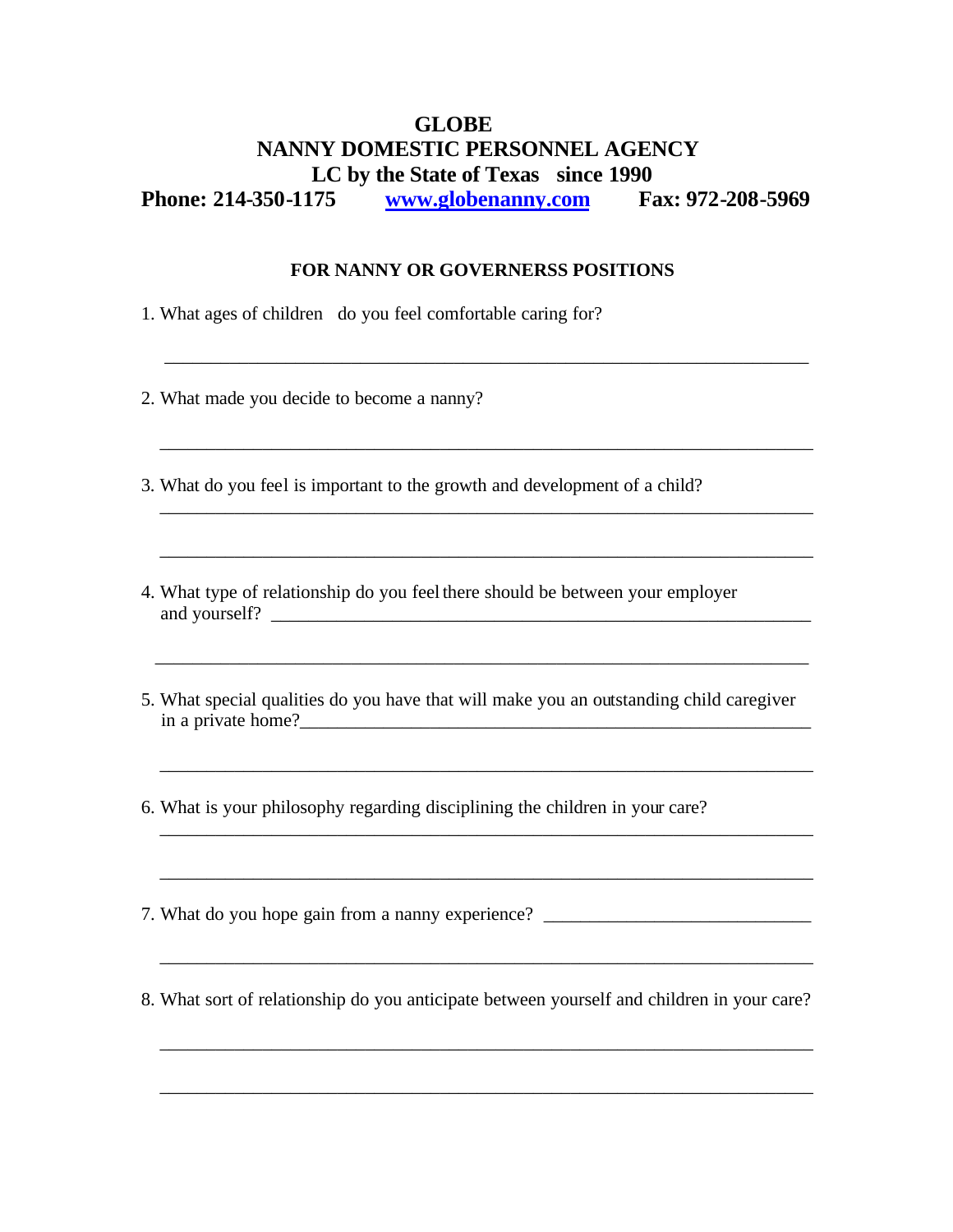## **GLOBE NANNY DOMESTIC PERSONNEL AGENCY LC by the State of Texas since 1990**

**Phone: 214-350-1175 www.globenanny.com Fax: 972-208-5969** 

## **FOR NANNY OR GOVERNERSS POSITIONS**

\_\_\_\_\_\_\_\_\_\_\_\_\_\_\_\_\_\_\_\_\_\_\_\_\_\_\_\_\_\_\_\_\_\_\_\_\_\_\_\_\_\_\_\_\_\_\_\_\_\_\_\_\_\_\_\_\_\_\_\_\_\_\_\_\_\_\_\_\_

\_\_\_\_\_\_\_\_\_\_\_\_\_\_\_\_\_\_\_\_\_\_\_\_\_\_\_\_\_\_\_\_\_\_\_\_\_\_\_\_\_\_\_\_\_\_\_\_\_\_\_\_\_\_\_\_\_\_\_\_\_\_\_\_\_\_\_\_\_\_

1. What ages of children do you feel comfortable caring for?

2. What made you decide to become a nanny?

3. What do you feel is important to the growth and development of a child?

- 4. What type of relationship do you feel there should be between your employer and yourself? \_\_\_\_\_\_\_\_\_\_\_\_\_\_\_\_\_\_\_\_\_\_\_\_\_\_\_\_\_\_\_\_\_\_\_\_\_\_\_\_\_\_\_\_\_\_\_\_\_\_\_\_\_\_\_\_\_\_
- 5. What special qualities do you have that will make you an outstanding child caregiver in a private home?\_\_\_\_\_\_\_\_\_\_\_\_\_\_\_\_\_\_\_\_\_\_\_\_\_\_\_\_\_\_\_\_\_\_\_\_\_\_\_\_\_\_\_\_\_\_\_\_\_\_\_\_\_\_\_

\_\_\_\_\_\_\_\_\_\_\_\_\_\_\_\_\_\_\_\_\_\_\_\_\_\_\_\_\_\_\_\_\_\_\_\_\_\_\_\_\_\_\_\_\_\_\_\_\_\_\_\_\_\_\_\_\_\_\_\_\_\_\_\_\_\_\_\_\_\_

\_\_\_\_\_\_\_\_\_\_\_\_\_\_\_\_\_\_\_\_\_\_\_\_\_\_\_\_\_\_\_\_\_\_\_\_\_\_\_\_\_\_\_\_\_\_\_\_\_\_\_\_\_\_\_\_\_\_\_\_\_\_\_\_\_\_\_\_\_\_

\_\_\_\_\_\_\_\_\_\_\_\_\_\_\_\_\_\_\_\_\_\_\_\_\_\_\_\_\_\_\_\_\_\_\_\_\_\_\_\_\_\_\_\_\_\_\_\_\_\_\_\_\_\_\_\_\_\_\_\_\_\_\_\_\_\_\_\_\_\_

6. What is your philosophy regarding disciplining the children in your care?

7. What do you hope gain from a nanny experience? \_\_\_\_\_\_\_\_\_\_\_\_\_\_\_\_\_\_\_\_\_\_\_\_\_\_\_\_\_\_\_

8. What sort of relationship do you anticipate between yourself and children in your care?

\_\_\_\_\_\_\_\_\_\_\_\_\_\_\_\_\_\_\_\_\_\_\_\_\_\_\_\_\_\_\_\_\_\_\_\_\_\_\_\_\_\_\_\_\_\_\_\_\_\_\_\_\_\_\_\_\_\_\_\_\_\_\_\_\_\_\_\_\_\_

\_\_\_\_\_\_\_\_\_\_\_\_\_\_\_\_\_\_\_\_\_\_\_\_\_\_\_\_\_\_\_\_\_\_\_\_\_\_\_\_\_\_\_\_\_\_\_\_\_\_\_\_\_\_\_\_\_\_\_\_\_\_\_\_\_\_\_\_\_\_

 $\mathcal{L}_\mathcal{L} = \{ \mathcal{L}_\mathcal{L} = \{ \mathcal{L}_\mathcal{L} = \{ \mathcal{L}_\mathcal{L} = \{ \mathcal{L}_\mathcal{L} = \{ \mathcal{L}_\mathcal{L} = \{ \mathcal{L}_\mathcal{L} = \{ \mathcal{L}_\mathcal{L} = \{ \mathcal{L}_\mathcal{L} = \{ \mathcal{L}_\mathcal{L} = \{ \mathcal{L}_\mathcal{L} = \{ \mathcal{L}_\mathcal{L} = \{ \mathcal{L}_\mathcal{L} = \{ \mathcal{L}_\mathcal{L} = \{ \mathcal{L}_\mathcal{$